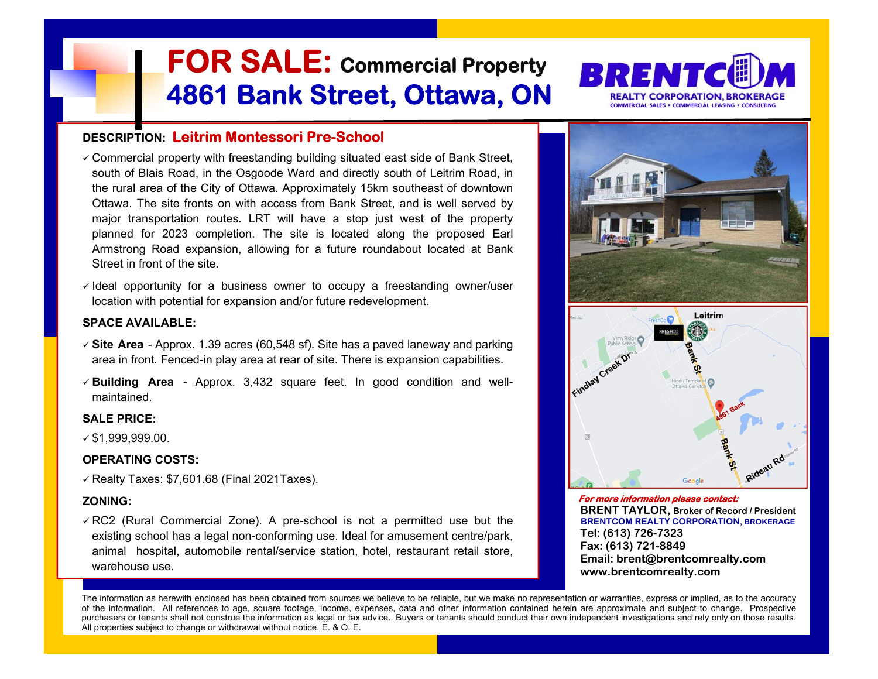

- FOR SALE: Commercial Property<br>
2661 Bank Street, Ottawa, ON<br>
CEONIFION: Leitrim Montessori Pre-School<br>
Confined largely with free School<br>
Confined largely and the Osyado Ward and discut state of Bank Street.<br>
Confined larg
- 

- 
- 





The information as herewith enclosed has been obtained from sources we believe to be reliable, but we make no representation or warranties, express or implied, as to the accuracy of the information. All references to age, square footage, income, expenses, data and other information contained herein are approximate and subject to change. Prospective purchasers or tenants shall not construe the information as legal or tax advice. Buyers or tenants should conduct their own independent investigations and rely only on those results.<br>All properties subject to change or wit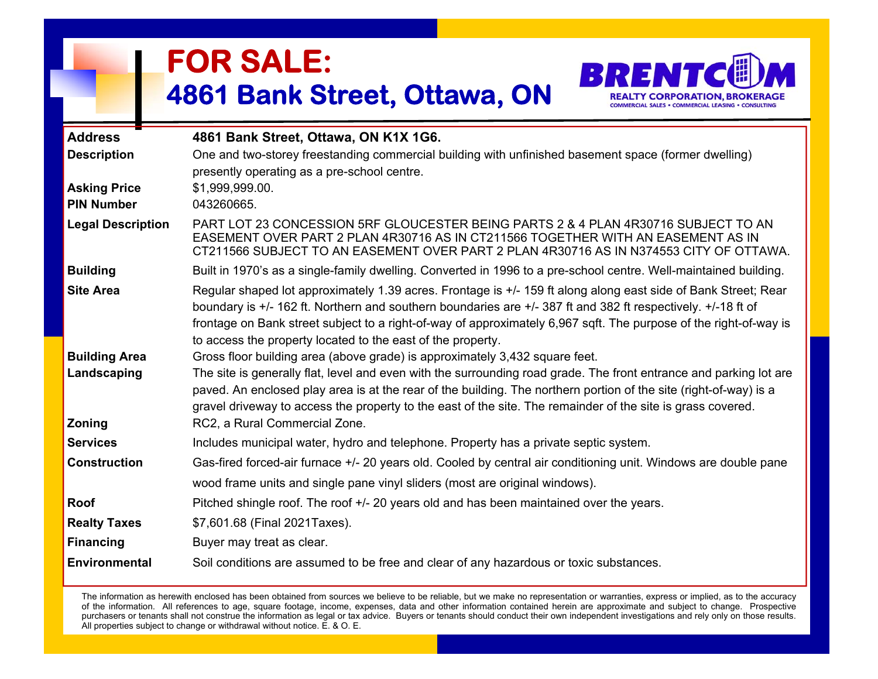

|                                          | <b>FOR SALE:</b><br>4861 Bank Street, Ottawa, ON                                                                                                                                                                                                                                                                                                                                                                                                                       |
|------------------------------------------|------------------------------------------------------------------------------------------------------------------------------------------------------------------------------------------------------------------------------------------------------------------------------------------------------------------------------------------------------------------------------------------------------------------------------------------------------------------------|
| <b>Address</b>                           | 4861 Bank Street, Ottawa, ON K1X 1G6.                                                                                                                                                                                                                                                                                                                                                                                                                                  |
| <b>Description</b>                       | One and two-storey freestanding commercial building with unfinished basement space (former dwelling)<br>presently operating as a pre-school centre.                                                                                                                                                                                                                                                                                                                    |
| <b>Asking Price</b><br><b>PIN Number</b> | \$1,999,999.00.<br>043260665.                                                                                                                                                                                                                                                                                                                                                                                                                                          |
| <b>Legal Description</b>                 | PART LOT 23 CONCESSION 5RF GLOUCESTER BEING PARTS 2 & 4 PLAN 4R30716 SUBJECT TO AN<br>EASEMENT OVER PART 2 PLAN 4R30716 AS IN CT211566 TOGETHER WITH AN EASEMENT AS IN<br>CT211566 SUBJECT TO AN EASEMENT OVER PART 2 PLAN 4R30716 AS IN N374553 CITY OF OTTAWA.                                                                                                                                                                                                       |
| <b>Building</b>                          | Built in 1970's as a single-family dwelling. Converted in 1996 to a pre-school centre. Well-maintained building.                                                                                                                                                                                                                                                                                                                                                       |
| <b>Site Area</b>                         | Regular shaped lot approximately 1.39 acres. Frontage is +/- 159 ft along along east side of Bank Street; Rear<br>boundary is +/- 162 ft. Northern and southern boundaries are +/- 387 ft and 382 ft respectively. +/-18 ft of<br>frontage on Bank street subject to a right-of-way of approximately 6,967 sqft. The purpose of the right-of-way is<br>to access the property located to the east of the property.                                                     |
| <b>Building Area</b><br>Landscaping      | Gross floor building area (above grade) is approximately 3,432 square feet.<br>The site is generally flat, level and even with the surrounding road grade. The front entrance and parking lot are<br>paved. An enclosed play area is at the rear of the building. The northern portion of the site (right-of-way) is a<br>gravel driveway to access the property to the east of the site. The remainder of the site is grass covered.<br>RC2, a Rural Commercial Zone. |
| Zoning<br><b>Services</b>                | Includes municipal water, hydro and telephone. Property has a private septic system.                                                                                                                                                                                                                                                                                                                                                                                   |
| <b>Construction</b>                      | Gas-fired forced-air furnace +/- 20 years old. Cooled by central air conditioning unit. Windows are double pane                                                                                                                                                                                                                                                                                                                                                        |
|                                          | wood frame units and single pane vinyl sliders (most are original windows).                                                                                                                                                                                                                                                                                                                                                                                            |
| Roof                                     | Pitched shingle roof. The roof +/- 20 years old and has been maintained over the years.                                                                                                                                                                                                                                                                                                                                                                                |
| <b>Realty Taxes</b>                      | \$7,601.68 (Final 2021Taxes).                                                                                                                                                                                                                                                                                                                                                                                                                                          |
| <b>Financing</b>                         | Buyer may treat as clear.                                                                                                                                                                                                                                                                                                                                                                                                                                              |
| <b>Environmental</b>                     | Soil conditions are assumed to be free and clear of any hazardous or toxic substances.                                                                                                                                                                                                                                                                                                                                                                                 |

The information as herewith enclosed has been obtained from sources we believe to be reliable, but we make no representation or warranties, express or implied, as to the accuracy of the information. All references to age, square footage, income, expenses, data and other information contained herein are approximate and subject to change. Prospective purchasers or tenants shall not construe the information as legal or tax advice. Buyers or tenants should conduct their own independent investigations and rely only on those results. All properties subject to change or withdrawal without notice. E. & O. E.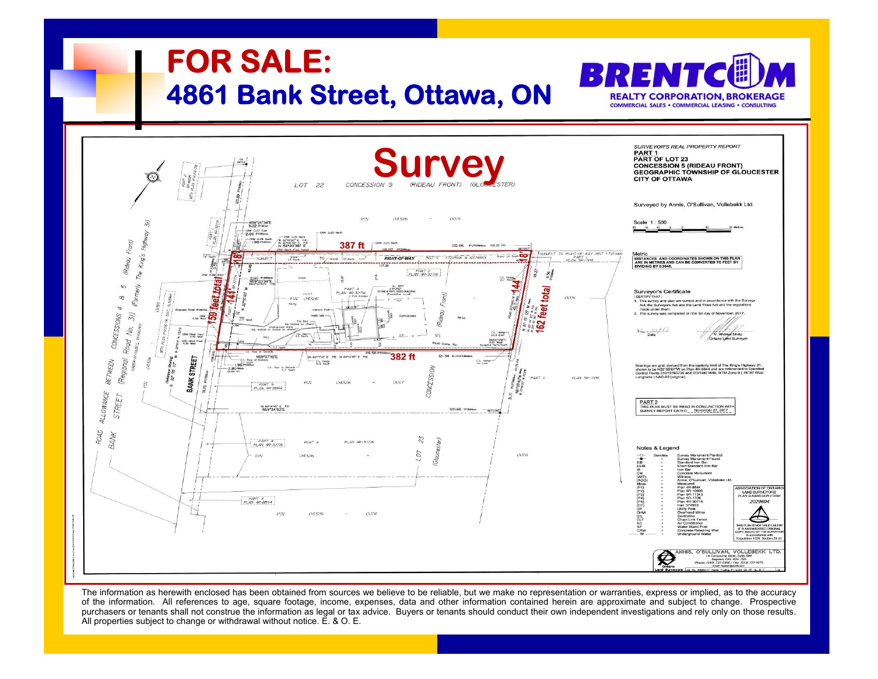

The information as herewith enclosed has been obtained from sources we believe to be reliable, but we make no representation or warranties, express or implied, as to the accuracy of the information. All references to age, square footage, income, expenses, data and other information contained herein are approximate and subject to change. Prospective purchasers or tenants shall not construe the information as legal or tax advice. Buyers or tenants should conduct their own independent investigations and rely only on those results. All properties subject to change or withdrawal without notice. E. & O. E.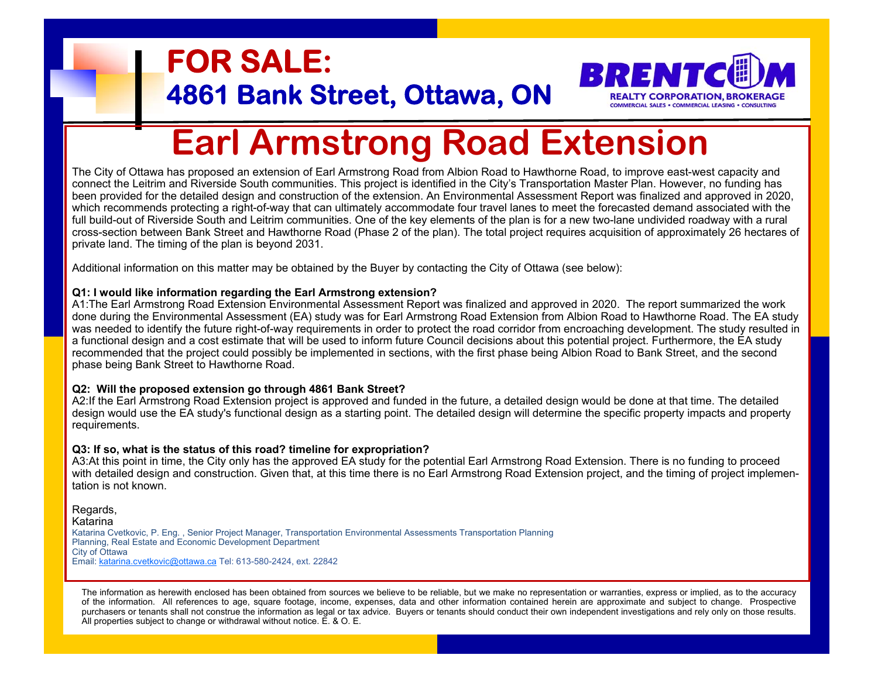# **FOR SALE:**<br>4861 Bank Street, Ottawa, ON BRENTCE ARMSTRATION, BROKERAGE<br>Earl Armstrong Road Extension



The City of Ottawa has proposed an extension of Earl Armstrong Road from Albion Road to Hawthorne Road, to improve east-west capacity and connect the Leitrim and Riverside South communities. This project is identified in the City's Transportation Master Plan. However, no funding has been provided for the detailed design and construction of the extension. An Environmental Assessment Report was finalized and approved in 2020, which recommends protecting a right-of-way that can ultimately accommodate four travel lanes to meet the forecasted demand associated with the full build-out of Riverside South and Leitrim communities. One of the key elements of the plan is for a new two-lane undivided roadway with a rural cross-section between Bank Street and Hawthorne Road (Phase 2 of the plan). The total project requires acquisition of approximately 26 hectares of private land. The timing of the plan is beyond 2031.

Additional information on this matter may be obtained by the Buyer by contacting the City of Ottawa (see below):

# **Q1: I would like information regarding the Earl Armstrong extension?**

A1:The Earl Armstrong Road Extension Environmental Assessment Report was finalized and approved in 2020. The report summarized the work done during the Environmental Assessment (EA) study was for Earl Armstrong Road Extension from Albion Road to Hawthorne Road. The EA study was needed to identify the future right-of-way requirements in order to protect the road corridor from encroaching development. The study resulted in a functional design and a cost estimate that will be used to inform future Council decisions about this potential project. Furthermore, the EA study recommended that the project could possibly be implemented in sections, with the first phase being Albion Road to Bank Street, and the second phase being Bank Street to Hawthorne Road.

# **Q2: Will the proposed extension go through 4861 Bank Street?**

A2:If the Earl Armstrong Road Extension project is approved and funded in the future, a detailed design would be done at that time. The detailed design would use the EA study's functional design as a starting point. The detailed design will determine the specific property impacts and property requirements.

# **Q3: If so, what is the status of this road? timeline for expropriation?**

A3:At this point in time, the City only has the approved EA study for the potential Earl Armstrong Road Extension. There is no funding to proceed with detailed design and construction. Given that, at this time there is no Earl Armstrong Road Extension project, and the timing of project implementation is not known.

Regards, Katarina Katarina Cvetkovic, P. Eng. , Senior Project Manager, Transportation Environmental Assessments Transportation Planning Planning, Real Estate and Economic Development Department City of Ottawa Email: katarina.cvetkovic@ottawa.ca Tel: 613-580-2424, ext. 22842

The information as herewith enclosed has been obtained from sources we believe to be reliable, but we make no representation or warranties, express or implied, as to the accuracy of the information. All references to age, square footage, income, expenses, data and other information contained herein are approximate and subject to change. Prospective purchasers or tenants shall not construe the information as legal or tax advice. Buyers or tenants should conduct their own independent investigations and rely only on those results. All properties subject to change or withdrawal without notice. E. & O. E.